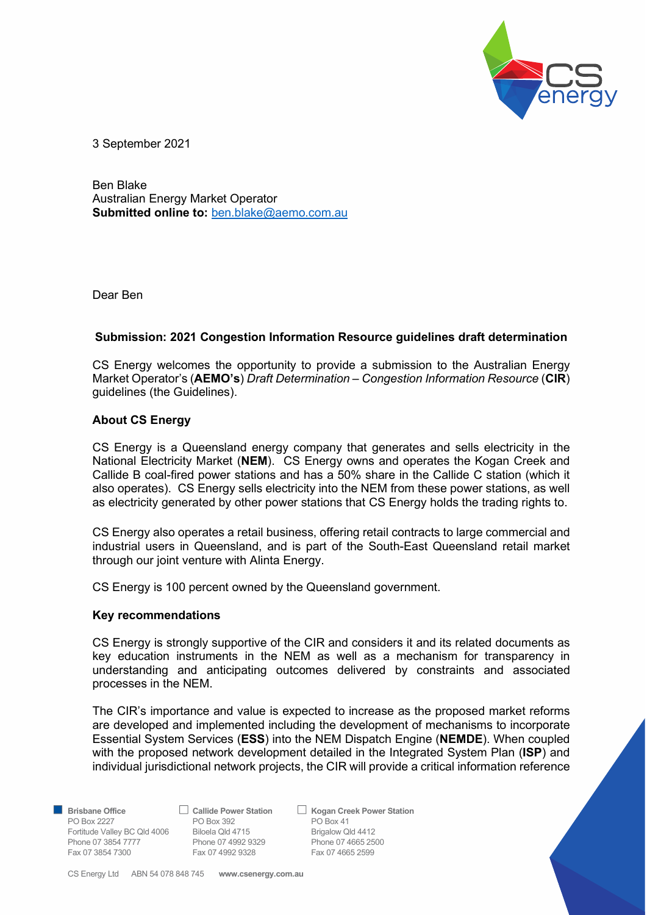

3 September 2021

Ben Blake Australian Energy Market Operator Submitted online to: ben.blake@aemo.com.au

Dear Ben

## Submission: 2021 Congestion Information Resource guidelines draft determination

CS Energy welcomes the opportunity to provide a submission to the Australian Energy Market Operator's (**AEMO's**) Draft Determination – Congestion Information Resource (CIR) guidelines (the Guidelines).

## About CS Energy

CS Energy is a Queensland energy company that generates and sells electricity in the National Electricity Market (NEM). CS Energy owns and operates the Kogan Creek and Callide B coal-fired power stations and has a 50% share in the Callide C station (which it also operates). CS Energy sells electricity into the NEM from these power stations, as well as electricity generated by other power stations that CS Energy holds the trading rights to.

CS Energy also operates a retail business, offering retail contracts to large commercial and industrial users in Queensland, and is part of the South-East Queensland retail market through our joint venture with Alinta Energy.

CS Energy is 100 percent owned by the Queensland government.

## Key recommendations

CS Energy is strongly supportive of the CIR and considers it and its related documents as key education instruments in the NEM as well as a mechanism for transparency in understanding and anticipating outcomes delivered by constraints and associated processes in the NEM.

The CIR's importance and value is expected to increase as the proposed market reforms are developed and implemented including the development of mechanisms to incorporate Essential System Services (ESS) into the NEM Dispatch Engine (NEMDE). When coupled with the proposed network development detailed in the Integrated System Plan (ISP) and individual jurisdictional network projects, the CIR will provide a critical information reference

**B** Brisbane Office **Callide Power Station** C Kogan Creek Power Station PO Box 2227 **PO Box 392** PO Box 41 Fortitude Valley BC Qld 4006 Biloela Qld 4715 Brigalow Qld 4412 Phone 07 3854 7777 Phone 07 4992 9329 Phone 07 4665 2500 Fax 07 3854 7300 Fax 07 4992 9328 Fax 07 4665 2599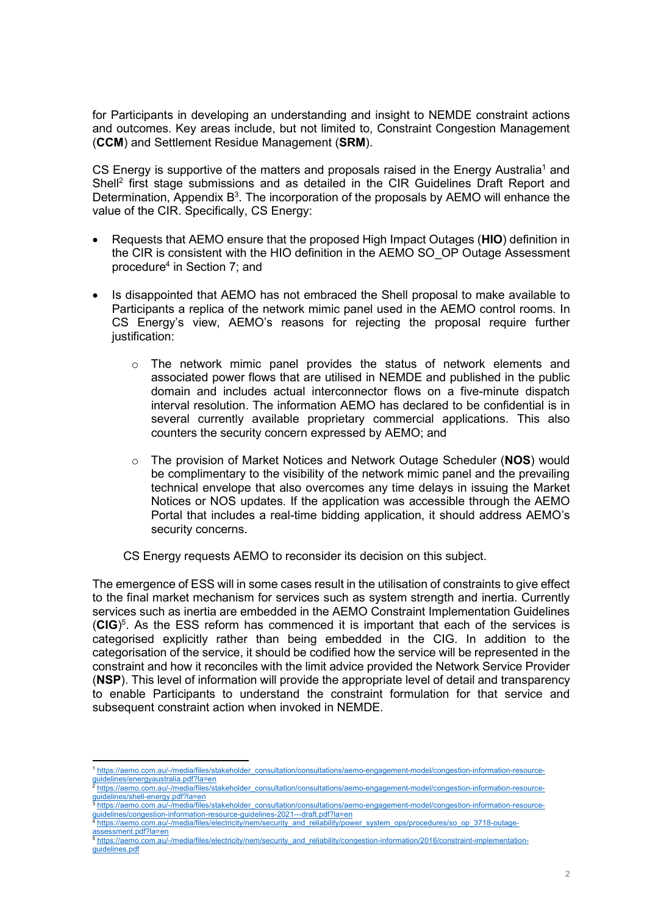for Participants in developing an understanding and insight to NEMDE constraint actions and outcomes. Key areas include, but not limited to, Constraint Congestion Management (CCM) and Settlement Residue Management (SRM).

CS Energy is supportive of the matters and proposals raised in the Energy Australia<sup>1</sup> and Shell<sup>2</sup> first stage submissions and as detailed in the CIR Guidelines Draft Report and Determination, Appendix  $B^3$ . The incorporation of the proposals by AEMO will enhance the value of the CIR. Specifically, CS Energy:

- Requests that AEMO ensure that the proposed High Impact Outages (HIO) definition in the CIR is consistent with the HIO definition in the AEMO SO\_OP Outage Assessment procedure<sup>4</sup> in Section 7; and
- Is disappointed that AEMO has not embraced the Shell proposal to make available to Participants a replica of the network mimic panel used in the AEMO control rooms. In CS Energy's view, AEMO's reasons for rejecting the proposal require further justification:
	- $\circ$  The network mimic panel provides the status of network elements and associated power flows that are utilised in NEMDE and published in the public domain and includes actual interconnector flows on a five-minute dispatch interval resolution. The information AEMO has declared to be confidential is in several currently available proprietary commercial applications. This also counters the security concern expressed by AEMO; and
	- $\circ$  The provision of Market Notices and Network Outage Scheduler (NOS) would be complimentary to the visibility of the network mimic panel and the prevailing technical envelope that also overcomes any time delays in issuing the Market Notices or NOS updates. If the application was accessible through the AEMO Portal that includes a real-time bidding application, it should address AEMO's security concerns.

CS Energy requests AEMO to reconsider its decision on this subject.

The emergence of ESS will in some cases result in the utilisation of constraints to give effect to the final market mechanism for services such as system strength and inertia. Currently services such as inertia are embedded in the AEMO Constraint Implementation Guidelines  $(CIG)^5$ . As the ESS reform has commenced it is important that each of the services is categorised explicitly rather than being embedded in the CIG. In addition to the categorisation of the service, it should be codified how the service will be represented in the constraint and how it reconciles with the limit advice provided the Network Service Provider (NSP). This level of information will provide the appropriate level of detail and transparency to enable Participants to understand the constraint formulation for that service and subsequent constraint action when invoked in NEMDE.

<sup>1</sup> https://aemo.com.au/-/media/files/stakeholder\_consultation/consultations/aemo-engagement-model/congestion-information-resource-

guidelines/energyaustralia.pdf?la=en <sup>2</sup> https://aemo.com.au/-/media/files/stakeholder\_consultation/consultations/aemo-engagement-model/congestion-information-resourceguidelines/shell-energy.pdf?la=en

<sup>3</sup> https://aemo.com.au/-/media/files/stakeholder\_consultation/consultations/aemo-engagement-model/congestion-information-resourceguidelines/congestion-information-resource-guidelines-2021---draft.pdf?la=en

https://aemo.com.au/-/media/files/electricity/nem/security\_and\_reliability/power\_system\_ops/procedures/so\_op\_3718-outageassessment.pdf?la=en

<sup>5</sup> https://aemo.com.au/-/media/files/electricity/nem/security\_and\_reliability/congestion-information/2016/constraint-implementationguidelines.pdf